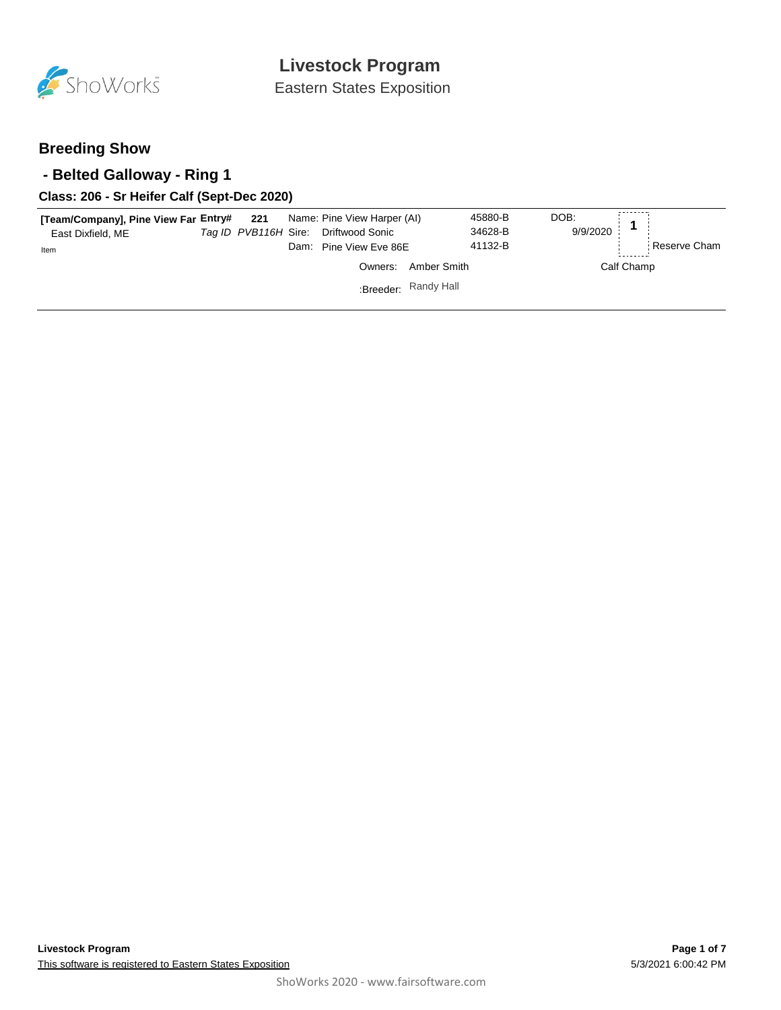

Eastern States Exposition

### **Breeding Show**

### **- Belted Galloway - Ring 1**

### **Class: 206 - Sr Heifer Calf (Sept-Dec 2020)**

| [Team/Company], Pine View Far Entry# 221 Name: Pine View Harper (AI)<br>East Dixfield, ME<br>Item |  | Tag ID PVB116H Sire: Driftwood Sonic<br>Dam: Pine View Eve 86E |                      | 45880-B<br>34628-B<br>41132-B | DOB:<br>9/9/2020 |            | Reserve Cham |
|---------------------------------------------------------------------------------------------------|--|----------------------------------------------------------------|----------------------|-------------------------------|------------------|------------|--------------|
|                                                                                                   |  | Owners:                                                        | Amber Smith          |                               |                  | Calf Champ |              |
|                                                                                                   |  |                                                                | :Breeder: Randy Hall |                               |                  |            |              |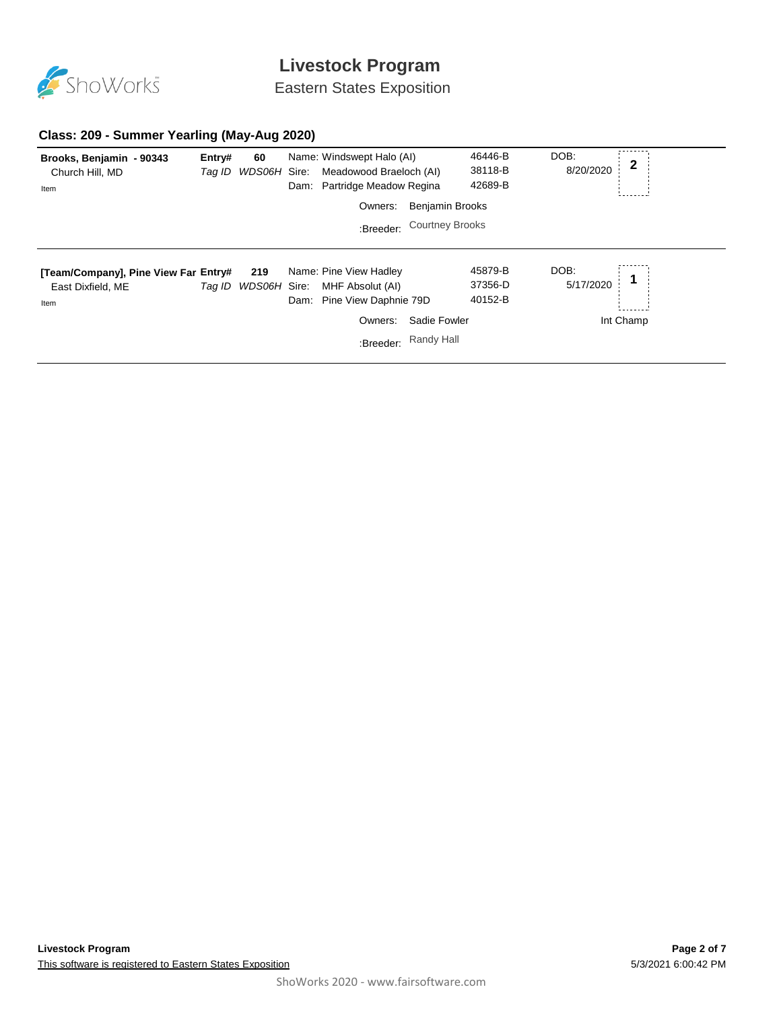

Eastern States Exposition

### **Class: 209 - Summer Yearling (May-Aug 2020)**

| Brooks, Benjamin - 90343<br>Church Hill, MD<br>Item               | Entry#<br>Tag ID | 60<br>WDS06H Sire:         | Name: Windswept Halo (AI)<br>Meadowood Braeloch (AI)<br>Dam: Partridge Meadow Regina<br>Owners:  | <b>Benjamin Brooks</b>     | 46446-B<br>38118-B<br>42689-B | DOB:<br>8/20/2020 | $\mathbf 2$ |
|-------------------------------------------------------------------|------------------|----------------------------|--------------------------------------------------------------------------------------------------|----------------------------|-------------------------------|-------------------|-------------|
|                                                                   |                  |                            |                                                                                                  | :Breeder: Courtney Brooks  |                               |                   |             |
| [Team/Company], Pine View Far Entry#<br>East Dixfield, ME<br>Item |                  | 219<br>Tag ID WDS06H Sire: | Name: Pine View Hadley<br>MHF Absolut (AI)<br>Dam: Pine View Daphnie 79D<br>Owners:<br>:Breeder: | Sadie Fowler<br>Randy Hall | 45879-B<br>37356-D<br>40152-B | DOB:<br>5/17/2020 | Int Champ   |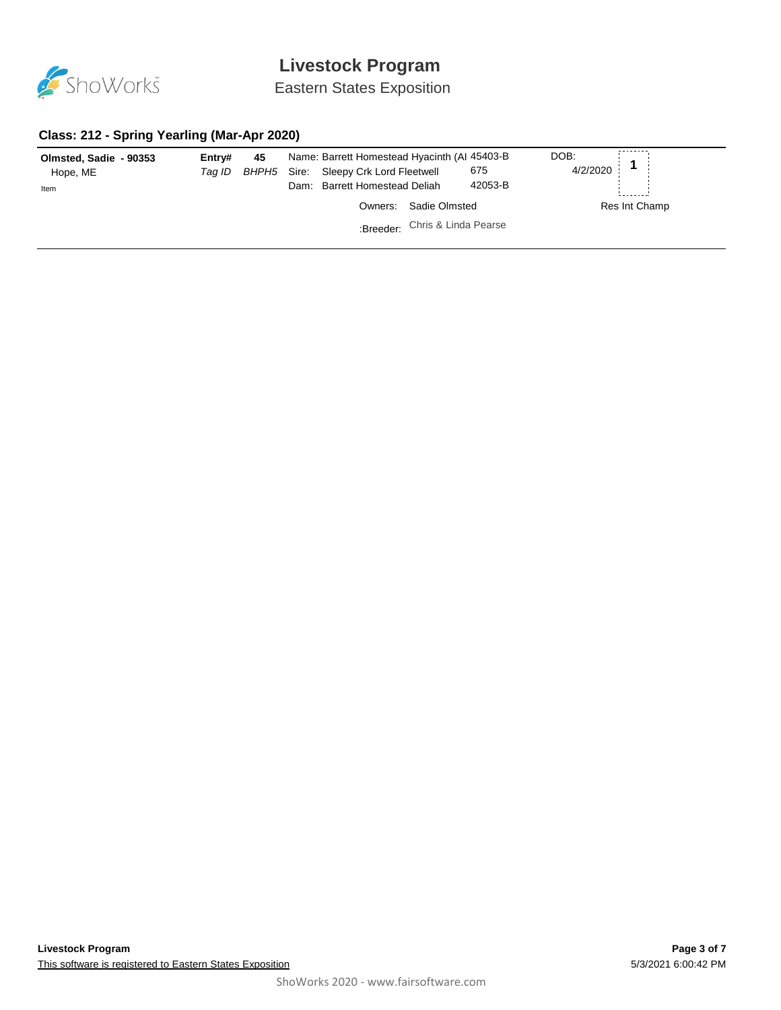

Eastern States Exposition

#### **Class: 212 - Spring Yearling (Mar-Apr 2020)**

| Olmsted, Sadie - 90353<br>Hope, ME<br>Item | Entrv#<br>Taq ID | 45<br>BHPH5 | Name: Barrett Homestead Hyacinth (AI 45403-B)<br>Sire: Sleepy Crk Lord Fleetwell<br>Dam: Barrett Homestead Deliah | 675<br>42053-B                 | DOB:<br>4/2/2020 |               |
|--------------------------------------------|------------------|-------------|-------------------------------------------------------------------------------------------------------------------|--------------------------------|------------------|---------------|
|                                            |                  |             | Owners:                                                                                                           | Sadie Olmsted                  |                  | Res Int Champ |
|                                            |                  |             |                                                                                                                   | :Breeder: Chris & Linda Pearse |                  |               |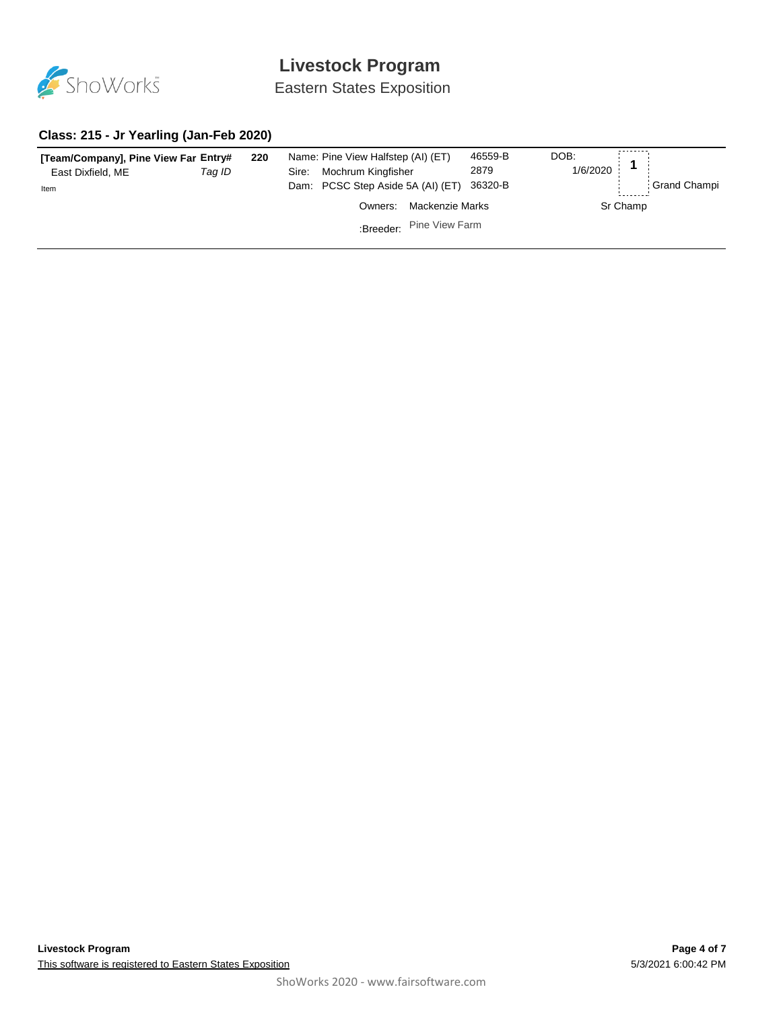

Eastern States Exposition

### **Class: 215 - Jr Yearling (Jan-Feb 2020)**

| [Team/Company], Pine View Far Entry#<br>East Dixfield, ME<br>Item | 220<br>Taq ID | Name: Pine View Halfstep (AI) (ET)<br>Mochrum Kingfisher<br>Sire:<br>Dam: PCSC Step Aside 5A (AI) (ET) |                          | 46559-B<br>2879<br>36320-B | DOB:<br>1/6/2020 |          | <b>Grand Champi</b> |
|-------------------------------------------------------------------|---------------|--------------------------------------------------------------------------------------------------------|--------------------------|----------------------------|------------------|----------|---------------------|
|                                                                   |               | Owners:                                                                                                | Mackenzie Marks          |                            |                  | Sr Champ |                     |
|                                                                   |               |                                                                                                        | :Breeder: Pine View Farm |                            |                  |          |                     |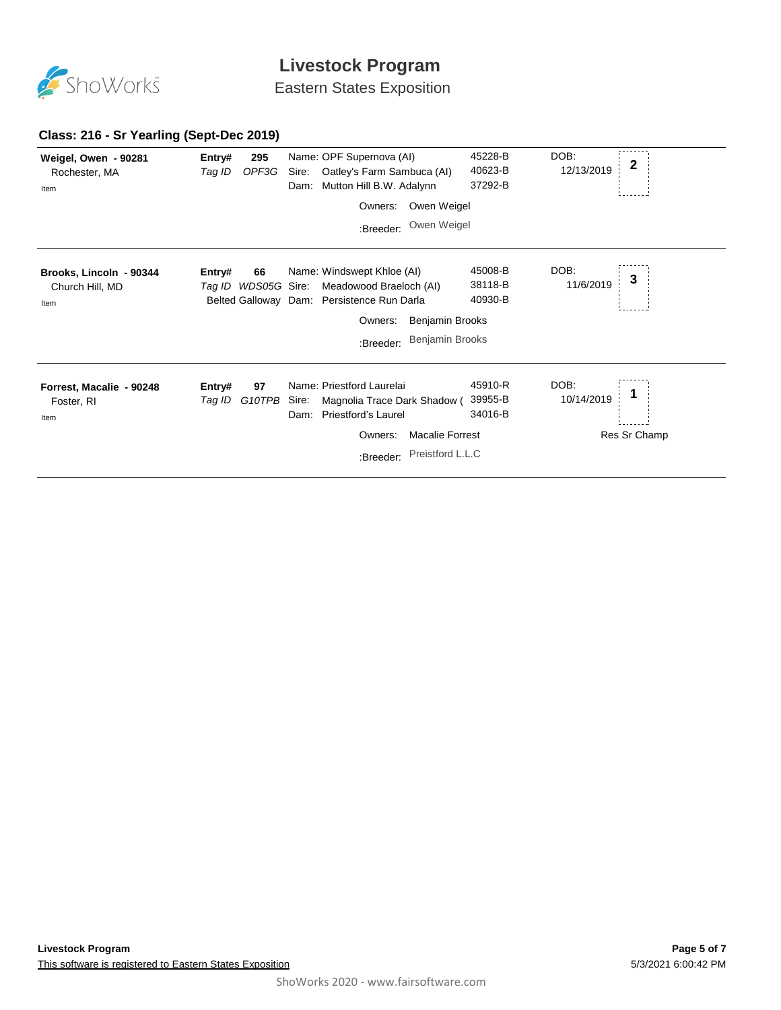

Eastern States Exposition

### **Class: 216 - Sr Yearling (Sept-Dec 2019)**

| Weigel, Owen - 90281<br>Rochester, MA<br>Item      | Entry#<br>Tag ID | 295<br>OPF3G              | Sire:<br>Dam: | Name: OPF Supernova (AI)<br>Oatley's Farm Sambuca (AI)<br>Mutton Hill B.W. Adalynn                  |                        | 45228-B<br>40623-B<br>37292-B | DOB:<br>12/13/2019 | $\mathbf{2}$ |
|----------------------------------------------------|------------------|---------------------------|---------------|-----------------------------------------------------------------------------------------------------|------------------------|-------------------------------|--------------------|--------------|
|                                                    |                  |                           |               | Owners:                                                                                             | Owen Weigel            |                               |                    |              |
|                                                    |                  |                           |               | :Breeder:                                                                                           | Owen Weigel            |                               |                    |              |
| Brooks, Lincoln - 90344<br>Church Hill, MD<br>Item | Entry#           | 66<br>Tag ID WDS05G Sire: |               | Name: Windswept Khloe (AI)<br>Meadowood Braeloch (AI)<br>Belted Galloway Dam: Persistence Run Darla |                        | 45008-B<br>38118-B<br>40930-B | DOB:<br>11/6/2019  | 3            |
|                                                    |                  |                           |               | Owners:                                                                                             | Benjamin Brooks        |                               |                    |              |
|                                                    |                  |                           |               | :Breeder:                                                                                           | <b>Benjamin Brooks</b> |                               |                    |              |
| Forrest, Macalie - 90248<br>Foster, RI<br>Item     | Entry#<br>Tag ID | 97<br>G10TPB              | Sire:<br>Dam: | Name: Priestford Laurelai<br>Magnolia Trace Dark Shadow (<br>Priestford's Laurel<br>Owners:         | <b>Macalie Forrest</b> | 45910-R<br>39955-B<br>34016-B | DOB:<br>10/14/2019 | Res Sr Champ |
|                                                    |                  |                           |               | :Breeder:                                                                                           | Preistford L.L.C       |                               |                    |              |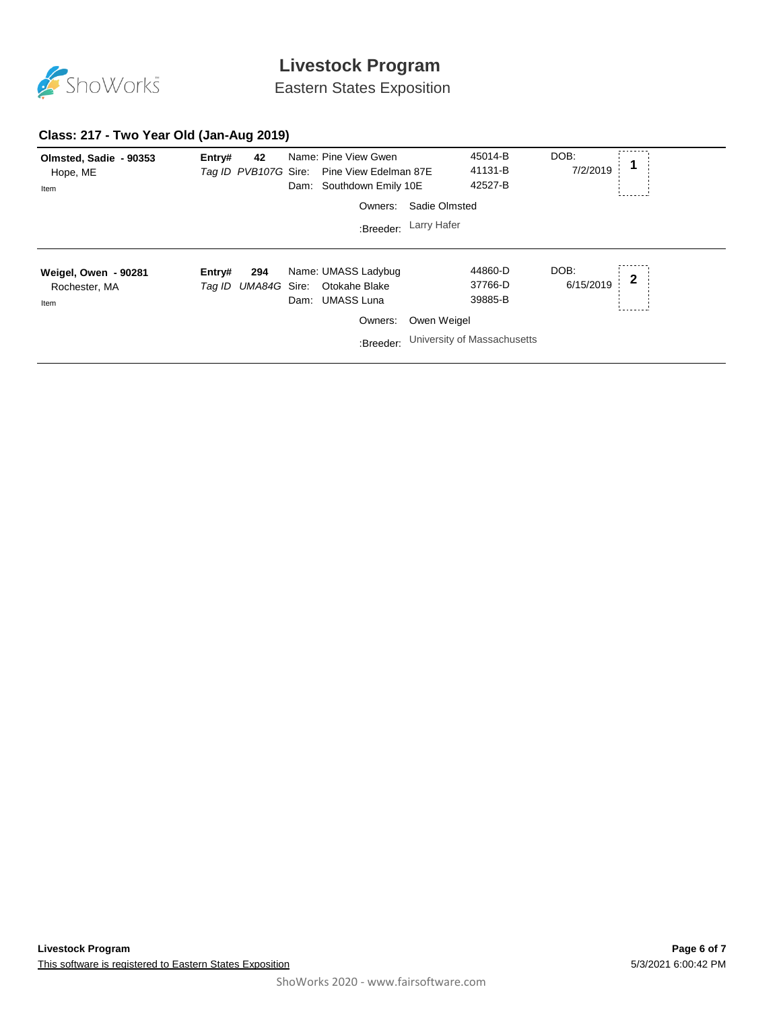

Eastern States Exposition

#### **Class: 217 - Two Year Old (Jan-Aug 2019)**

| Olmsted, Sadie - 90353<br>Hope, ME<br>Item    | Entry#           | 42                  | Dam: | Name: Pine View Gwen<br>Tag ID PVB107G Sire: Pine View Edelman 87E<br>Southdown Emily 10E |                       | 45014-B<br>41131-B<br>42527-B                                | DOB:<br>7/2/2019  |             |
|-----------------------------------------------|------------------|---------------------|------|-------------------------------------------------------------------------------------------|-----------------------|--------------------------------------------------------------|-------------------|-------------|
|                                               |                  |                     |      | Owners:                                                                                   | Sadie Olmsted         |                                                              |                   |             |
|                                               |                  |                     |      |                                                                                           | :Breeder: Larry Hafer |                                                              |                   |             |
| Weigel, Owen - 90281<br>Rochester, MA<br>Item | Entry#<br>Taq ID | 294<br>UMA84G Sire: | Dam: | Name: UMASS Ladybug<br>Otokahe Blake<br><b>UMASS Luna</b><br>Owners:<br>:Breeder:         | Owen Weigel           | 44860-D<br>37766-D<br>39885-B<br>University of Massachusetts | DOB:<br>6/15/2019 | $\mathbf 2$ |